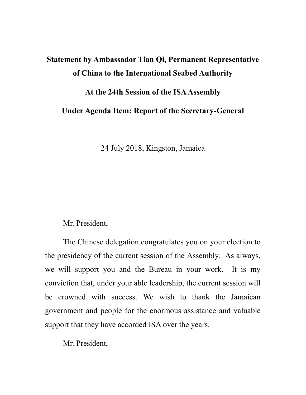# **Statement by Ambassador Tian Qi, Permanent Representative of China to the International Seabed Authority**

## **At the 24th Session of the ISA Assembly**

**Under Agenda Item: Report of the Secretary-General**

24 July 2018, Kingston, Jamaica

## Mr. President,

The Chinese delegation congratulates you on your election to the presidency of the current session of the Assembly. As always, we will support you and the Bureau in your work. It is my conviction that, under your able leadership, the current session will be crowned with success. We wish to thank the Jamaican government and people for the enormous assistance and valuable support that they have accorded ISA over the years.

Mr. President,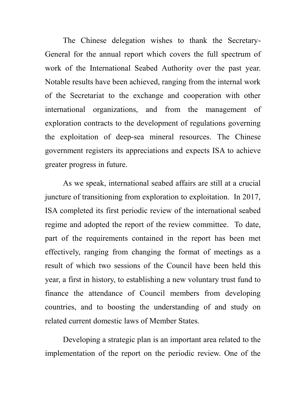The Chinese delegation wishes to thank the Secretary-General for the annual report which covers the full spectrum of work of the International Seabed Authority over the past year. Notable results have been achieved, ranging from the internal work of the Secretariat to the exchange and cooperation with other international organizations, and from the management of exploration contracts to the development of regulations governing the exploitation of deep-sea mineral resources. The Chinese government registers its appreciations and expects ISA to achieve greater progress in future.

As we speak, international seabed affairs are still at a crucial juncture of transitioning from exploration to exploitation. In 2017, ISA completed its first periodic review of the international seabed regime and adopted the report of the review committee. To date, part of the requirements contained in the report has been met effectively, ranging from changing the format of meetings as a result of which two sessions of the Council have been held this year, a first in history, to establishing a new voluntary trust fund to finance the attendance of Council members from developing countries, and to boosting the understanding of and study on related current domestic laws of Member States.

Developing a strategic plan is an important area related to the implementation of the report on the periodic review. One of the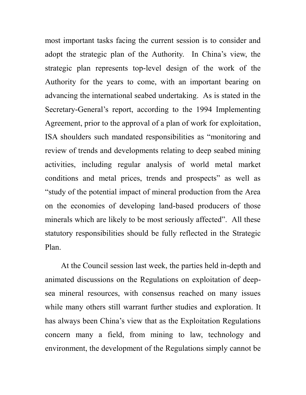most important tasks facing the current session is to consider and adopt the strategic plan of the Authority. In China's view, the strategic plan represents top-level design of the work of the Authority for the years to come, with an important bearing on advancing the international seabed undertaking. As is stated in the Secretary-General's report, according to the 1994 Implementing Agreement, prior to the approval of a plan of work for exploitation, ISA shoulders such mandated responsibilities as "monitoring and review of trends and developments relating to deep seabed mining activities, including regular analysis of world metal market conditions and metal prices, trends and prospects" as well as "study of the potential impact of mineral production from the Area on the economies of developing land-based producers of those minerals which are likely to be most seriously affected". All these statutory responsibilities should be fully reflected in the Strategic Plan.

At the Council session last week, the parties held in-depth and animated discussions on the Regulations on exploitation of deepsea mineral resources, with consensus reached on many issues while many others still warrant further studies and exploration. It has always been China's view that as the Exploitation Regulations concern many a field, from mining to law, technology and environment, the development of the Regulations simply cannot be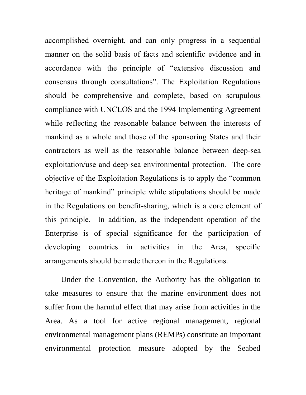accomplished overnight, and can only progress in a sequential manner on the solid basis of facts and scientific evidence and in accordance with the principle of "extensive discussion and consensus through consultations". The Exploitation Regulations should be comprehensive and complete, based on scrupulous compliance with UNCLOS and the 1994 Implementing Agreement while reflecting the reasonable balance between the interests of mankind as a whole and those of the sponsoring States and their contractors as well as the reasonable balance between deep-sea exploitation/use and deep-sea environmental protection. The core objective of the Exploitation Regulations is to apply the "common heritage of mankind" principle while stipulations should be made in the Regulations on benefit-sharing, which is a core element of this principle. In addition, as the independent operation of the Enterprise is of special significance for the participation of developing countries in activities in the Area, specific arrangements should be made thereon in the Regulations.

Under the Convention, the Authority has the obligation to take measures to ensure that the marine environment does not suffer from the harmful effect that may arise from activities in the Area. As a tool for active regional management, regional environmental management plans (REMPs) constitute an important environmental protection measure adopted by the Seabed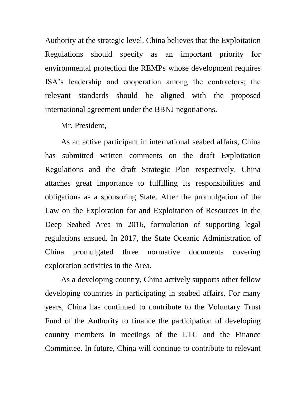Authority at the strategic level. China believes that the Exploitation Regulations should specify as an important priority for environmental protection the REMPs whose development requires ISA's leadership and cooperation among the contractors; the relevant standards should be aligned with the proposed international agreement under the BBNJ negotiations.

#### Mr. President,

As an active participant in international seabed affairs, China has submitted written comments on the draft Exploitation Regulations and the draft Strategic Plan respectively. China attaches great importance to fulfilling its responsibilities and obligations as a sponsoring State. After the promulgation of the Law on the Exploration for and Exploitation of Resources in the Deep Seabed Area in 2016, formulation of supporting legal regulations ensued. In 2017, the State Oceanic Administration of China promulgated three normative documents covering exploration activities in the Area.

As a developing country, China actively supports other fellow developing countries in participating in seabed affairs. For many years, China has continued to contribute to the Voluntary Trust Fund of the Authority to finance the participation of developing country members in meetings of the LTC and the Finance Committee. In future, China will continue to contribute to relevant